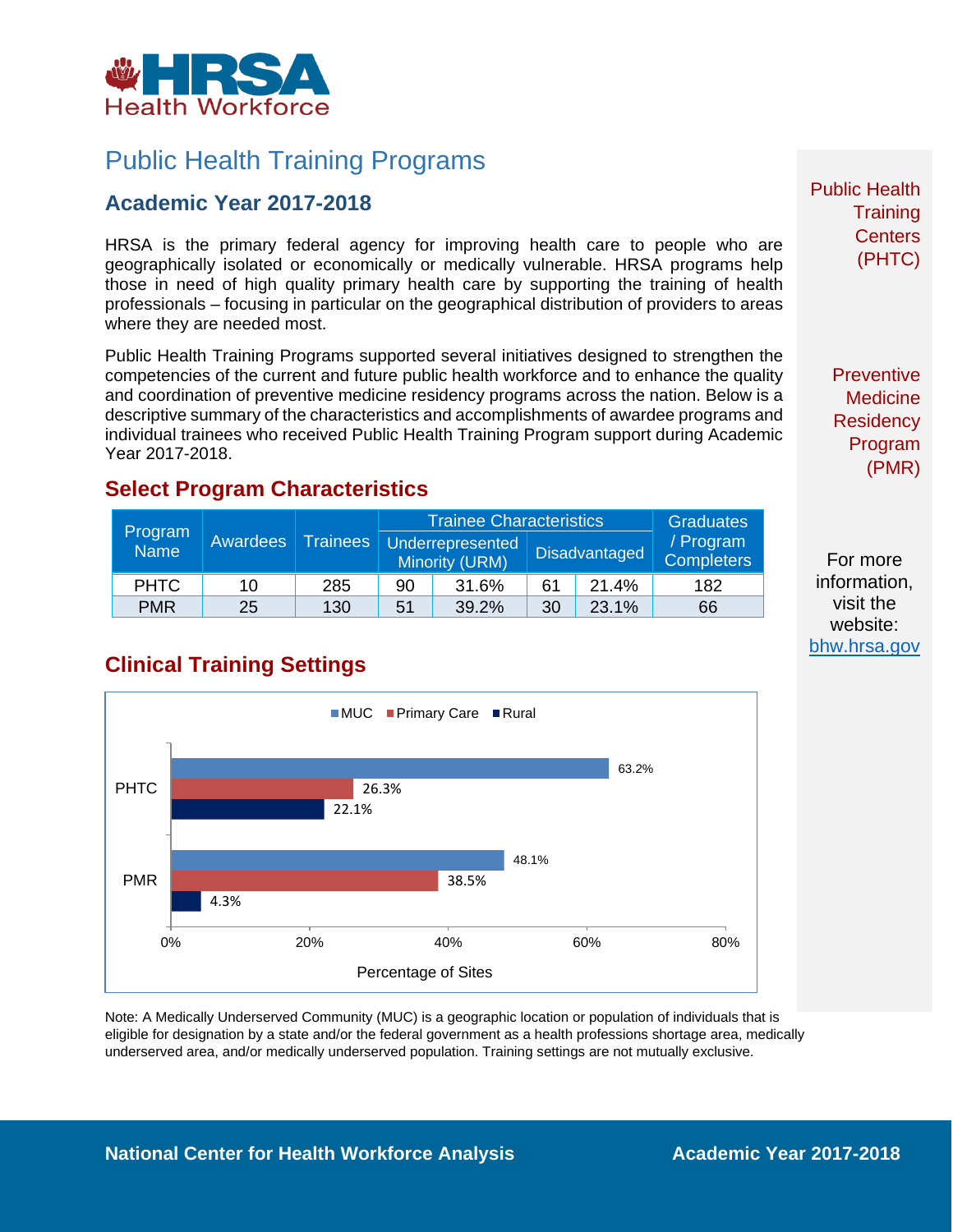

# Public Health Training Programs

### **Academic Year 2017-2018**

HRSA is the primary federal agency for improving health care to people who are geographically isolated or economically or medically vulnerable. HRSA programs help those in need of high quality primary health care by supporting the training of health professionals – focusing in particular on the geographical distribution of providers to areas where they are needed most.

Public Health Training Programs supported several initiatives designed to strengthen the competencies of the current and future public health workforce and to enhance the quality and coordination of preventive medicine residency programs across the nation. Below is a descriptive summary of the characteristics and accomplishments of awardee programs and individual trainees who received Public Health Training Program support during Academic Year 2017-2018.

#### **Select Program Characteristics**

| Program<br><b>Name</b> | Awardees | <b>Trainees</b> | <b>Trainee Characteristics</b> |                                                                   |    |                                | <b>Graduates</b> |
|------------------------|----------|-----------------|--------------------------------|-------------------------------------------------------------------|----|--------------------------------|------------------|
|                        |          |                 |                                | Underrepresented<br><b>Disadvantaged</b><br><b>Minority (URM)</b> |    | / Program<br><b>Completers</b> |                  |
| <b>PHTC</b>            | 10       | 285             | 90                             | 31.6%                                                             | 61 | 21.4%                          | 182              |
| <b>PMR</b>             | 25       | 130             | 51                             | 39.2%                                                             | 30 | 23.1%                          | 66               |

## **Clinical Training Settings**



Note: A Medically Underserved Community (MUC) is a geographic location or population of individuals that is eligible for designation by a state and/or the federal government as a health professions shortage area, medically underserved area, and/or medically underserved population. Training settings are not mutually exclusive.

Public Health **Training Centers** (PHTC)

> **Preventive Medicine Residency** Program (PMR)

For more information, visit the website: [bhw.hrsa.gov](http://bhw.hrsa.gov/)